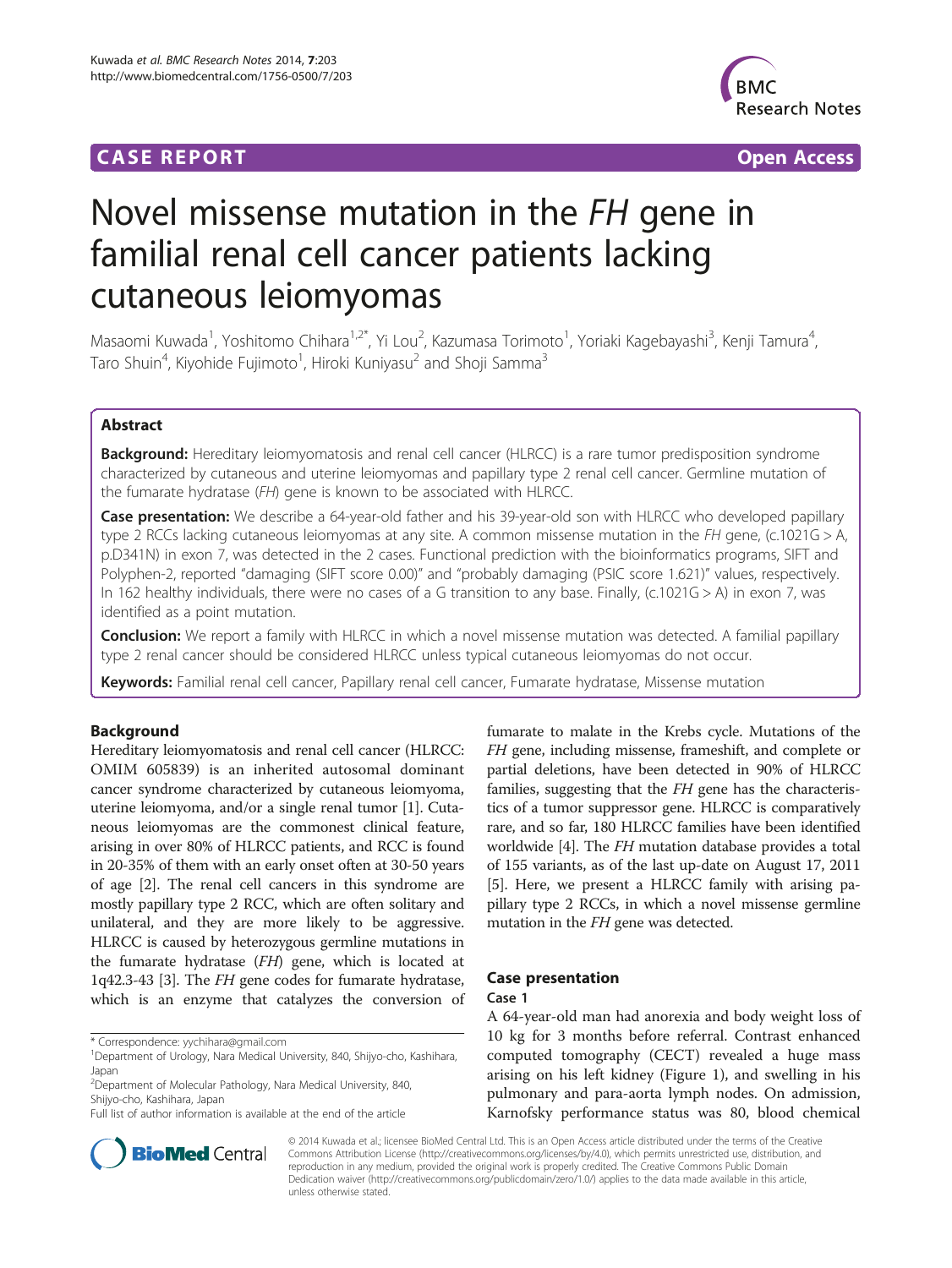## **CASE REPORT CASE REPORT CASE REPORT**



# Novel missense mutation in the FH gene in familial renal cell cancer patients lacking cutaneous leiomyomas

Masaomi Kuwada<sup>1</sup>, Yoshitomo Chihara<sup>1,2\*</sup>, Yi Lou<sup>2</sup>, Kazumasa Torimoto<sup>1</sup>, Yoriaki Kagebayashi<sup>3</sup>, Kenji Tamura<sup>4</sup> , Taro Shuin<sup>4</sup>, Kiyohide Fujimoto<sup>1</sup>, Hiroki Kuniyasu<sup>2</sup> and Shoji Samma<sup>3</sup>

## Abstract

Background: Hereditary leiomyomatosis and renal cell cancer (HLRCC) is a rare tumor predisposition syndrome characterized by cutaneous and uterine leiomyomas and papillary type 2 renal cell cancer. Germline mutation of the fumarate hydratase (FH) gene is known to be associated with HLRCC.

Case presentation: We describe a 64-year-old father and his 39-year-old son with HLRCC who developed papillary type 2 RCCs lacking cutaneous leiomyomas at any site. A common missense mutation in the FH gene, (c.1021G > A, p.D341N) in exon 7, was detected in the 2 cases. Functional prediction with the bioinformatics programs, SIFT and Polyphen-2, reported "damaging (SIFT score 0.00)" and "probably damaging (PSIC score 1.621)" values, respectively. In 162 healthy individuals, there were no cases of a G transition to any base. Finally, (c.1021G > A) in exon 7, was identified as a point mutation.

**Conclusion:** We report a family with HLRCC in which a novel missense mutation was detected. A familial papillary type 2 renal cancer should be considered HLRCC unless typical cutaneous leiomyomas do not occur.

Keywords: Familial renal cell cancer, Papillary renal cell cancer, Fumarate hydratase, Missense mutation

## **Background**

Hereditary leiomyomatosis and renal cell cancer (HLRCC: OMIM 605839) is an inherited autosomal dominant cancer syndrome characterized by cutaneous leiomyoma, uterine leiomyoma, and/or a single renal tumor [[1\]](#page-4-0). Cutaneous leiomyomas are the commonest clinical feature, arising in over 80% of HLRCC patients, and RCC is found in 20-35% of them with an early onset often at 30-50 years of age [\[2\]](#page-4-0). The renal cell cancers in this syndrome are mostly papillary type 2 RCC, which are often solitary and unilateral, and they are more likely to be aggressive. HLRCC is caused by heterozygous germline mutations in the fumarate hydratase (FH) gene, which is located at 1q42.3-43 [\[3](#page-4-0)]. The FH gene codes for fumarate hydratase, which is an enzyme that catalyzes the conversion of

\* Correspondence: [yychihara@gmail.com](mailto:yychihara@gmail.com) <sup>1</sup>

fumarate to malate in the Krebs cycle. Mutations of the FH gene, including missense, frameshift, and complete or partial deletions, have been detected in 90% of HLRCC families, suggesting that the FH gene has the characteristics of a tumor suppressor gene. HLRCC is comparatively rare, and so far, 180 HLRCC families have been identified worldwide [\[4](#page-4-0)]. The FH mutation database provides a total of 155 variants, as of the last up-date on August 17, 2011 [[5\]](#page-4-0). Here, we present a HLRCC family with arising papillary type 2 RCCs, in which a novel missense germline mutation in the FH gene was detected.

## Case presentation

Case 1

A 64-year-old man had anorexia and body weight loss of 10 kg for 3 months before referral. Contrast enhanced computed tomography (CECT) revealed a huge mass arising on his left kidney (Figure [1\)](#page-1-0), and swelling in his pulmonary and para-aorta lymph nodes. On admission, Karnofsky performance status was 80, blood chemical



© 2014 Kuwada et al.; licensee BioMed Central Ltd. This is an Open Access article distributed under the terms of the Creative Commons Attribution License [\(http://creativecommons.org/licenses/by/4.0\)](http://creativecommons.org/licenses/by/4.0), which permits unrestricted use, distribution, and reproduction in any medium, provided the original work is properly credited. The Creative Commons Public Domain Dedication waiver [\(http://creativecommons.org/publicdomain/zero/1.0/](http://creativecommons.org/publicdomain/zero/1.0/)) applies to the data made available in this article, unless otherwise stated.

<sup>&</sup>lt;sup>1</sup>Department of Urology, Nara Medical University, 840, Shijyo-cho, Kashihara, Japan

<sup>&</sup>lt;sup>2</sup> Department of Molecular Pathology, Nara Medical University, 840, Shijyo-cho, Kashihara, Japan

Full list of author information is available at the end of the article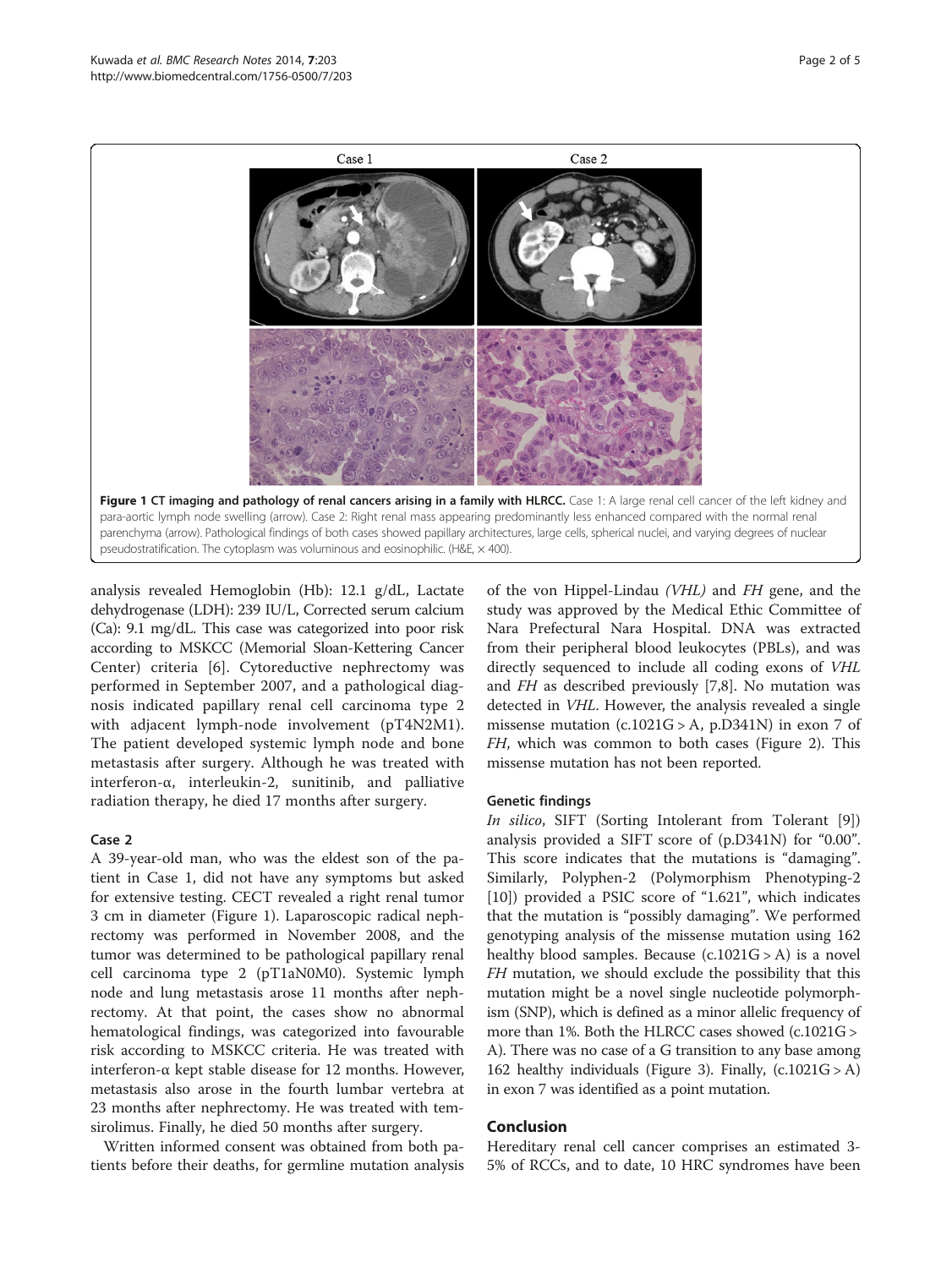<span id="page-1-0"></span>

analysis revealed Hemoglobin (Hb): 12.1 g/dL, Lactate dehydrogenase (LDH): 239 IU/L, Corrected serum calcium (Ca): 9.1 mg/dL. This case was categorized into poor risk according to MSKCC (Memorial Sloan-Kettering Cancer Center) criteria [\[6](#page-4-0)]. Cytoreductive nephrectomy was performed in September 2007, and a pathological diagnosis indicated papillary renal cell carcinoma type 2 with adjacent lymph-node involvement (pT4N2M1). The patient developed systemic lymph node and bone metastasis after surgery. Although he was treated with interferon-α, interleukin-2, sunitinib, and palliative radiation therapy, he died 17 months after surgery.

### Case 2

A 39-year-old man, who was the eldest son of the patient in Case 1, did not have any symptoms but asked for extensive testing. CECT revealed a right renal tumor 3 cm in diameter (Figure 1). Laparoscopic radical nephrectomy was performed in November 2008, and the tumor was determined to be pathological papillary renal cell carcinoma type 2 (pT1aN0M0). Systemic lymph node and lung metastasis arose 11 months after nephrectomy. At that point, the cases show no abnormal hematological findings, was categorized into favourable risk according to MSKCC criteria. He was treated with interferon-α kept stable disease for 12 months. However, metastasis also arose in the fourth lumbar vertebra at 23 months after nephrectomy. He was treated with temsirolimus. Finally, he died 50 months after surgery.

Written informed consent was obtained from both patients before their deaths, for germline mutation analysis

of the von Hippel-Lindau (VHL) and FH gene, and the study was approved by the Medical Ethic Committee of Nara Prefectural Nara Hospital. DNA was extracted from their peripheral blood leukocytes (PBLs), and was directly sequenced to include all coding exons of VHL and FH as described previously [\[7,8](#page-4-0)]. No mutation was detected in VHL. However, the analysis revealed a single missense mutation  $(c.1021G > A, p.D341N)$  in exon 7 of FH, which was common to both cases (Figure [2\)](#page-2-0). This missense mutation has not been reported.

### Genetic findings

In silico, SIFT (Sorting Intolerant from Tolerant [\[9](#page-4-0)]) analysis provided a SIFT score of (p.D341N) for "0.00". This score indicates that the mutations is "damaging". Similarly, Polyphen-2 (Polymorphism Phenotyping-2 [[10\]](#page-4-0)) provided a PSIC score of "1.621", which indicates that the mutation is "possibly damaging". We performed genotyping analysis of the missense mutation using 162 healthy blood samples. Because  $(c.1021G > A)$  is a novel FH mutation, we should exclude the possibility that this mutation might be a novel single nucleotide polymorphism (SNP), which is defined as a minor allelic frequency of more than 1%. Both the HLRCC cases showed (c.1021G > A). There was no case of a G transition to any base among 162 healthy individuals (Figure [3\)](#page-2-0). Finally, (c.1021G > A) in exon 7 was identified as a point mutation.

### Conclusion

Hereditary renal cell cancer comprises an estimated 3- 5% of RCCs, and to date, 10 HRC syndromes have been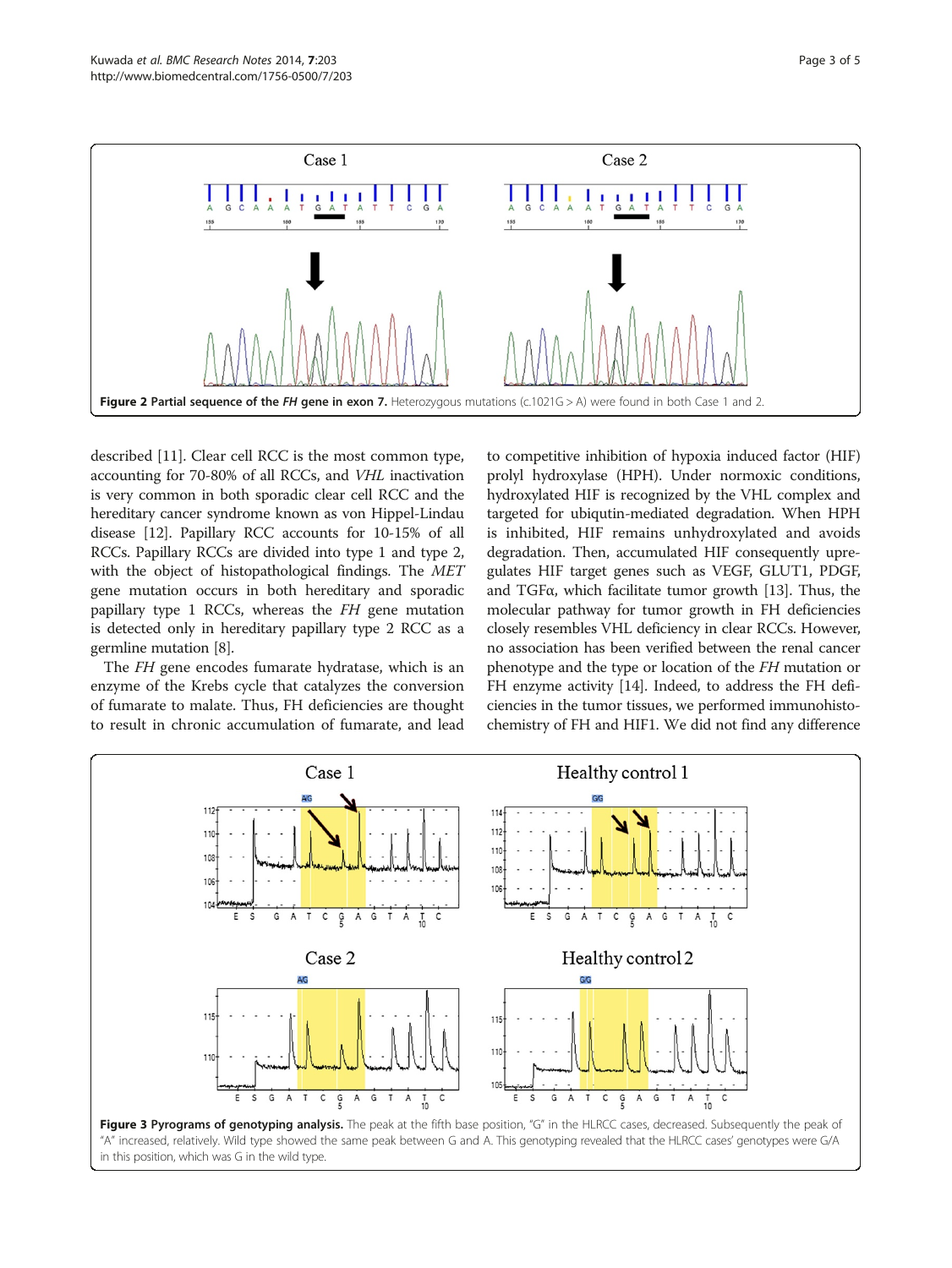<span id="page-2-0"></span>

described [[11](#page-4-0)]. Clear cell RCC is the most common type, accounting for 70-80% of all RCCs, and VHL inactivation is very common in both sporadic clear cell RCC and the hereditary cancer syndrome known as von Hippel-Lindau disease [[12\]](#page-4-0). Papillary RCC accounts for 10-15% of all RCCs. Papillary RCCs are divided into type 1 and type 2, with the object of histopathological findings. The MET gene mutation occurs in both hereditary and sporadic papillary type 1 RCCs, whereas the FH gene mutation is detected only in hereditary papillary type 2 RCC as a germline mutation [[8\]](#page-4-0).

The FH gene encodes fumarate hydratase, which is an enzyme of the Krebs cycle that catalyzes the conversion of fumarate to malate. Thus, FH deficiencies are thought to result in chronic accumulation of fumarate, and lead

to competitive inhibition of hypoxia induced factor (HIF) prolyl hydroxylase (HPH). Under normoxic conditions, hydroxylated HIF is recognized by the VHL complex and targeted for ubiqutin-mediated degradation. When HPH is inhibited, HIF remains unhydroxylated and avoids degradation. Then, accumulated HIF consequently upregulates HIF target genes such as VEGF, GLUT1, PDGF, and TGFα, which facilitate tumor growth [\[13\]](#page-4-0). Thus, the molecular pathway for tumor growth in FH deficiencies closely resembles VHL deficiency in clear RCCs. However, no association has been verified between the renal cancer phenotype and the type or location of the FH mutation or FH enzyme activity [[14](#page-4-0)]. Indeed, to address the FH deficiencies in the tumor tissues, we performed immunohistochemistry of FH and HIF1. We did not find any difference

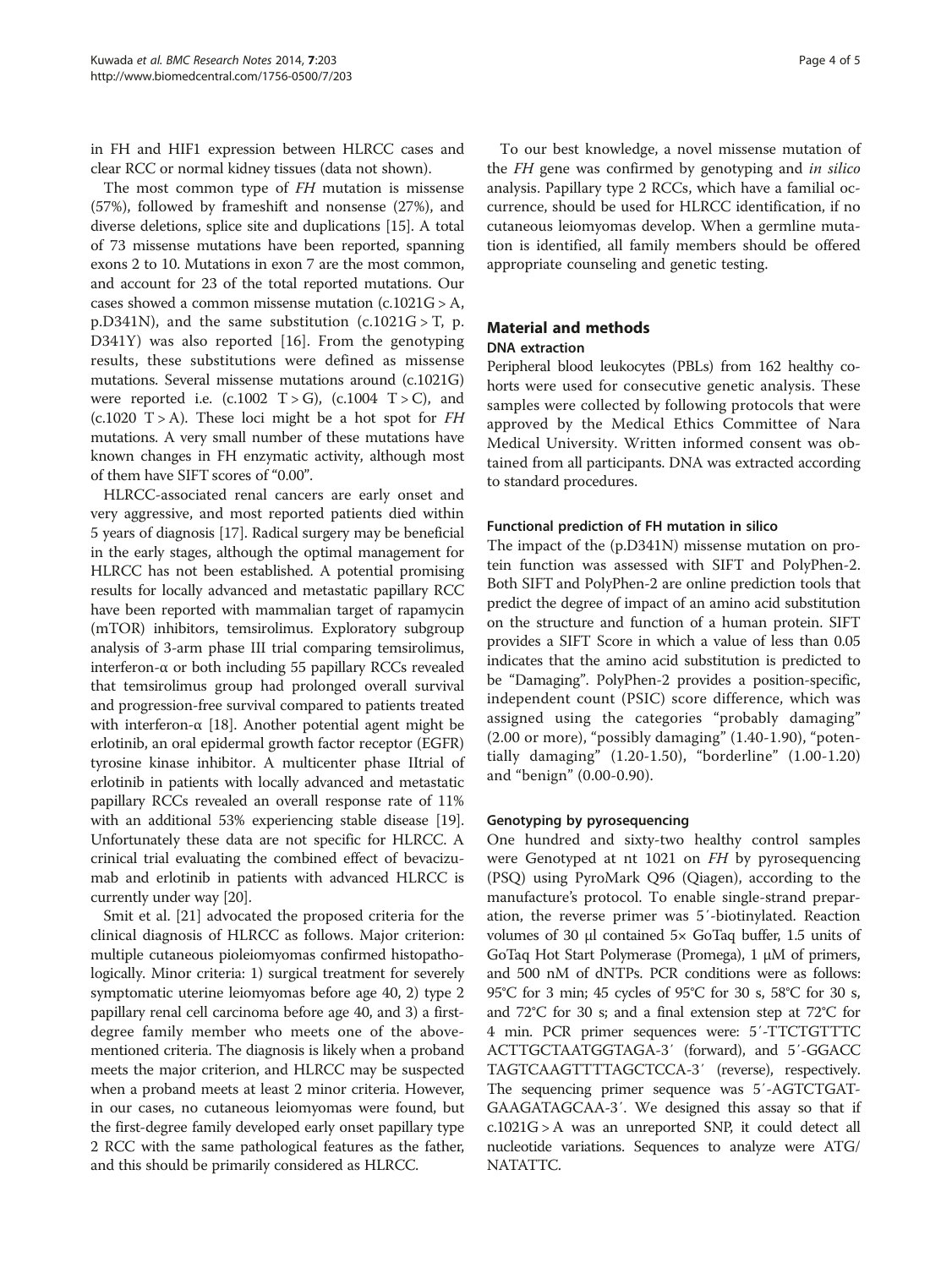in FH and HIF1 expression between HLRCC cases and clear RCC or normal kidney tissues (data not shown).

The most common type of FH mutation is missense (57%), followed by frameshift and nonsense (27%), and diverse deletions, splice site and duplications [\[15\]](#page-4-0). A total of 73 missense mutations have been reported, spanning exons 2 to 10. Mutations in exon 7 are the most common, and account for 23 of the total reported mutations. Our cases showed a common missense mutation  $(c.1021G > A$ , p.D341N), and the same substitution  $(c.1021G > T, p.$ D341Y) was also reported [[16\]](#page-4-0). From the genotyping results, these substitutions were defined as missense mutations. Several missense mutations around (c.1021G) were reported i.e.  $(c.1002 \text{ T} > \text{G})$ ,  $(c.1004 \text{ T} > \text{C})$ , and  $(c.1020 T > A)$ . These loci might be a hot spot for FH mutations. A very small number of these mutations have known changes in FH enzymatic activity, although most of them have SIFT scores of "0.00".

HLRCC-associated renal cancers are early onset and very aggressive, and most reported patients died within 5 years of diagnosis [\[17\]](#page-4-0). Radical surgery may be beneficial in the early stages, although the optimal management for HLRCC has not been established. A potential promising results for locally advanced and metastatic papillary RCC have been reported with mammalian target of rapamycin (mTOR) inhibitors, temsirolimus. Exploratory subgroup analysis of 3-arm phase III trial comparing temsirolimus, interferon-α or both including 55 papillary RCCs revealed that temsirolimus group had prolonged overall survival and progression-free survival compared to patients treated with interferon- $\alpha$  [[18](#page-4-0)]. Another potential agent might be erlotinib, an oral epidermal growth factor receptor (EGFR) tyrosine kinase inhibitor. A multicenter phase IItrial of erlotinib in patients with locally advanced and metastatic papillary RCCs revealed an overall response rate of 11% with an additional 53% experiencing stable disease [[19](#page-4-0)]. Unfortunately these data are not specific for HLRCC. A crinical trial evaluating the combined effect of bevacizumab and erlotinib in patients with advanced HLRCC is currently under way [[20](#page-4-0)].

Smit et al. [\[21\]](#page-4-0) advocated the proposed criteria for the clinical diagnosis of HLRCC as follows. Major criterion: multiple cutaneous pioleiomyomas confirmed histopathologically. Minor criteria: 1) surgical treatment for severely symptomatic uterine leiomyomas before age 40, 2) type 2 papillary renal cell carcinoma before age 40, and 3) a firstdegree family member who meets one of the abovementioned criteria. The diagnosis is likely when a proband meets the major criterion, and HLRCC may be suspected when a proband meets at least 2 minor criteria. However, in our cases, no cutaneous leiomyomas were found, but the first-degree family developed early onset papillary type 2 RCC with the same pathological features as the father, and this should be primarily considered as HLRCC.

To our best knowledge, a novel missense mutation of the FH gene was confirmed by genotyping and in silico analysis. Papillary type 2 RCCs, which have a familial occurrence, should be used for HLRCC identification, if no cutaneous leiomyomas develop. When a germline mutation is identified, all family members should be offered appropriate counseling and genetic testing.

## Material and methods DNA extraction

Peripheral blood leukocytes (PBLs) from 162 healthy cohorts were used for consecutive genetic analysis. These samples were collected by following protocols that were approved by the Medical Ethics Committee of Nara Medical University. Written informed consent was obtained from all participants. DNA was extracted according to standard procedures.

## Functional prediction of FH mutation in silico

The impact of the (p.D341N) missense mutation on protein function was assessed with SIFT and PolyPhen-2. Both SIFT and PolyPhen-2 are online prediction tools that predict the degree of impact of an amino acid substitution on the structure and function of a human protein. SIFT provides a SIFT Score in which a value of less than 0.05 indicates that the amino acid substitution is predicted to be "Damaging". PolyPhen-2 provides a position-specific, independent count (PSIC) score difference, which was assigned using the categories "probably damaging" (2.00 or more), "possibly damaging" (1.40-1.90), "potentially damaging" (1.20-1.50), "borderline" (1.00-1.20) and "benign" (0.00-0.90).

## Genotyping by pyrosequencing

One hundred and sixty-two healthy control samples were Genotyped at nt 1021 on FH by pyrosequencing (PSQ) using PyroMark Q96 (Qiagen), according to the manufacture's protocol. To enable single-strand preparation, the reverse primer was 5′-biotinylated. Reaction volumes of 30 μl contained  $5 \times$  GoTaq buffer, 1.5 units of GoTaq Hot Start Polymerase (Promega), 1 μM of primers, and 500 nM of dNTPs. PCR conditions were as follows: 95°C for 3 min; 45 cycles of 95°C for 30 s, 58°C for 30 s, and 72°C for 30 s; and a final extension step at 72°C for 4 min. PCR primer sequences were: 5′-TTCTGTTTC ACTTGCTAATGGTAGA-3′ (forward), and 5′-GGACC TAGTCAAGTTTTAGCTCCA-3′ (reverse), respectively. The sequencing primer sequence was 5′-AGTCTGAT-GAAGATAGCAA-3′. We designed this assay so that if c.1021G > A was an unreported SNP, it could detect all nucleotide variations. Sequences to analyze were ATG/ NATATTC.